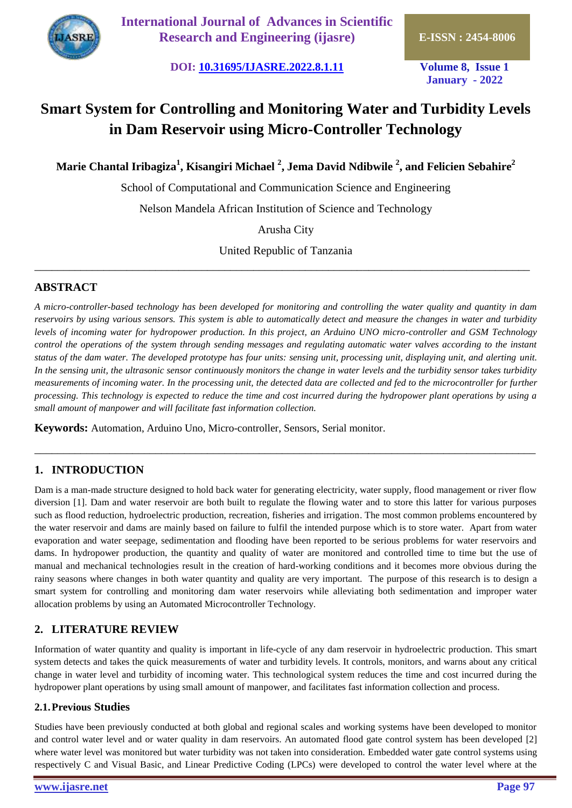

**International Journal of Advances in Scientific Research and Engineering (ijasre) E-ISSN : 2454-8006**

**DOI: [10.31695/IJASRE.2022.8.1.11](https://doi.org/10.31695/IJASRE.2022.8.1.11) Volume 8, Issue 1**

**January - 2022**

# **Smart System for Controlling and Monitoring Water and Turbidity Levels in Dam Reservoir using Micro-Controller Technology**

**Marie Chantal Iribagiza<sup>1</sup> , Kisangiri Michael <sup>2</sup> , Jema David Ndibwile <sup>2</sup> , and Felicien Sebahire<sup>2</sup>**

School of Computational and Communication Science and Engineering

Nelson Mandela African Institution of Science and Technology

Arusha City

United Republic of Tanzania \_\_\_\_\_\_\_\_\_\_\_\_\_\_\_\_\_\_\_\_\_\_\_\_\_\_\_\_\_\_\_\_\_\_\_\_\_\_\_\_\_\_\_\_\_\_\_\_\_\_\_\_\_\_\_\_\_\_\_\_\_\_\_\_\_\_\_\_\_\_\_\_\_\_\_\_\_\_\_\_\_\_\_\_\_\_

# **ABSTRACT**

*A micro-controller-based technology has been developed for monitoring and controlling the water quality and quantity in dam reservoirs by using various sensors. This system is able to automatically detect and measure the changes in water and turbidity levels of incoming water for hydropower production. In this project, an Arduino UNO micro-controller and GSM Technology control the operations of the system through sending messages and regulating automatic water valves according to the instant status of the dam water. The developed prototype has four units: sensing unit, processing unit, displaying unit, and alerting unit. In the sensing unit, the ultrasonic sensor continuously monitors the change in water levels and the turbidity sensor takes turbidity measurements of incoming water. In the processing unit, the detected data are collected and fed to the microcontroller for further processing. This technology is expected to reduce the time and cost incurred during the hydropower plant operations by using a small amount of manpower and will facilitate fast information collection.* 

\_\_\_\_\_\_\_\_\_\_\_\_\_\_\_\_\_\_\_\_\_\_\_\_\_\_\_\_\_\_\_\_\_\_\_\_\_\_\_\_\_\_\_\_\_\_\_\_\_\_\_\_\_\_\_\_\_\_\_\_\_\_\_\_\_\_\_\_\_\_\_\_\_\_\_\_\_\_\_\_\_\_\_\_\_\_\_

**Keywords:** Automation, Arduino Uno, Micro-controller, Sensors, Serial monitor.

# **1. INTRODUCTION**

Dam is a man-made structure designed to hold back water for generating electricity, water supply, flood management or river flow diversion [1]. Dam and water reservoir are both built to regulate the flowing water and to store this latter for various purposes such as flood reduction, hydroelectric production, recreation, fisheries and irrigation. The most common problems encountered by the water reservoir and dams are mainly based on failure to fulfil the intended purpose which is to store water. Apart from water evaporation and water seepage, sedimentation and flooding have been reported to be serious problems for water reservoirs and dams. In hydropower production, the quantity and quality of water are monitored and controlled time to time but the use of manual and mechanical technologies result in the creation of hard-working conditions and it becomes more obvious during the rainy seasons where changes in both water quantity and quality are very important. The purpose of this research is to design a smart system for controlling and monitoring dam water reservoirs while alleviating both sedimentation and improper water allocation problems by using an Automated Microcontroller Technology.

# **2. LITERATURE REVIEW**

Information of water quantity and quality is important in life-cycle of any dam reservoir in hydroelectric production. This smart system detects and takes the quick measurements of water and turbidity levels. It controls, monitors, and warns about any critical change in water level and turbidity of incoming water. This technological system reduces the time and cost incurred during the hydropower plant operations by using small amount of manpower, and facilitates fast information collection and process.

### **2.1.Previous Studies**

Studies have been previously conducted at both global and regional scales and working systems have been developed to monitor and control water level and or water quality in dam reservoirs. An automated flood gate control system has been developed [2] where water level was monitored but water turbidity was not taken into consideration. Embedded water gate control systems using respectively C and Visual Basic, and Linear Predictive Coding (LPCs) were developed to control the water level where at the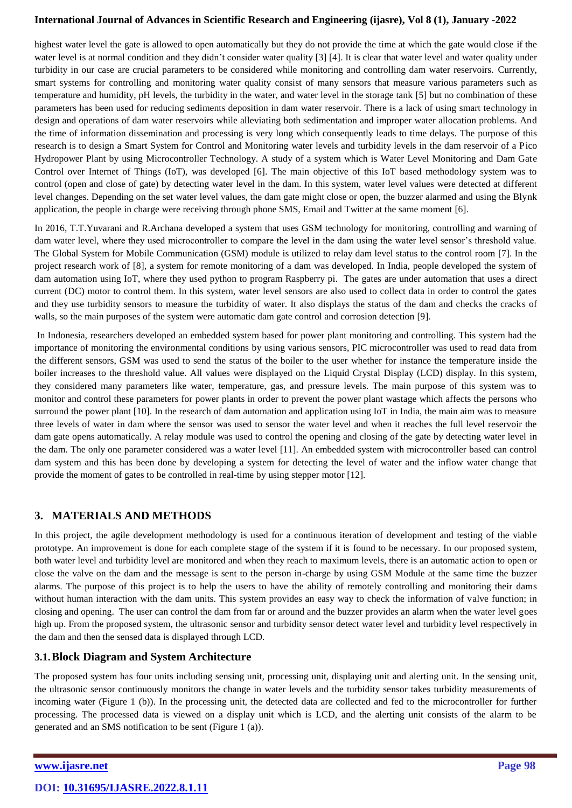highest water level the gate is allowed to open automatically but they do not provide the time at which the gate would close if the water level is at normal condition and they didn't consider water quality [3] [4]. It is clear that water level and water quality under turbidity in our case are crucial parameters to be considered while monitoring and controlling dam water reservoirs. Currently, smart systems for controlling and monitoring water quality consist of many sensors that measure various parameters such as temperature and humidity, pH levels, the turbidity in the water, and water level in the storage tank [5] but no combination of these parameters has been used for reducing sediments deposition in dam water reservoir. There is a lack of using smart technology in design and operations of dam water reservoirs while alleviating both sedimentation and improper water allocation problems. And the time of information dissemination and processing is very long which consequently leads to time delays. The purpose of this research is to design a Smart System for Control and Monitoring water levels and turbidity levels in the dam reservoir of a Pico Hydropower Plant by using Microcontroller Technology. A study of a system which is Water Level Monitoring and Dam Gate Control over Internet of Things (IoT), was developed [6]. The main objective of this IoT based methodology system was to control (open and close of gate) by detecting water level in the dam. In this system, water level values were detected at different level changes. Depending on the set water level values, the dam gate might close or open, the buzzer alarmed and using the Blynk application, the people in charge were receiving through phone SMS, Email and Twitter at the same moment [6].

In 2016, T.T.Yuvarani and R.Archana developed a system that uses GSM technology for monitoring, controlling and warning of dam water level, where they used microcontroller to compare the level in the dam using the water level sensor's threshold value. The Global System for Mobile Communication (GSM) module is utilized to relay dam level status to the control room [7]. In the project research work of [8], a system for remote monitoring of a dam was developed. In India, people developed the system of dam automation using IoT, where they used python to program Raspberry pi. The gates are under automation that uses a direct current (DC) motor to control them. In this system, water level sensors are also used to collect data in order to control the gates and they use turbidity sensors to measure the turbidity of water. It also displays the status of the dam and checks the cracks of walls, so the main purposes of the system were automatic dam gate control and corrosion detection [9].

In Indonesia, researchers developed an embedded system based for power plant monitoring and controlling. This system had the importance of monitoring the environmental conditions by using various sensors, PIC microcontroller was used to read data from the different sensors, GSM was used to send the status of the boiler to the user whether for instance the temperature inside the boiler increases to the threshold value. All values were displayed on the Liquid Crystal Display (LCD) display. In this system, they considered many parameters like water, temperature, gas, and pressure levels. The main purpose of this system was to monitor and control these parameters for power plants in order to prevent the power plant wastage which affects the persons who surround the power plant [10]. In the research of dam automation and application using IoT in India, the main aim was to measure three levels of water in dam where the sensor was used to sensor the water level and when it reaches the full level reservoir the dam gate opens automatically. A relay module was used to control the opening and closing of the gate by detecting water level in the dam. The only one parameter considered was a water level [11]. An embedded system with microcontroller based can control dam system and this has been done by developing a system for detecting the level of water and the inflow water change that provide the moment of gates to be controlled in real-time by using stepper motor [12].

# **3. MATERIALS AND METHODS**

In this project, the agile development methodology is used for a continuous iteration of development and testing of the viable prototype. An improvement is done for each complete stage of the system if it is found to be necessary. In our proposed system, both water level and turbidity level are monitored and when they reach to maximum levels, there is an automatic action to open or close the valve on the dam and the message is sent to the person in-charge by using GSM Module at the same time the buzzer alarms. The purpose of this project is to help the users to have the ability of remotely controlling and monitoring their dams without human interaction with the dam units. This system provides an easy way to check the information of valve function; in closing and opening. The user can control the dam from far or around and the buzzer provides an alarm when the water level goes high up. From the proposed system, the ultrasonic sensor and turbidity sensor detect water level and turbidity level respectively in the dam and then the sensed data is displayed through LCD.

# **3.1.Block Diagram and System Architecture**

The proposed system has four units including sensing unit, processing unit, displaying unit and alerting unit. In the sensing unit, the ultrasonic sensor continuously monitors the change in water levels and the turbidity sensor takes turbidity measurements of incoming water (Figure 1 (b)). In the processing unit, the detected data are collected and fed to the microcontroller for further processing. The processed data is viewed on a display unit which is LCD, and the alerting unit consists of the alarm to be generated and an SMS notification to be sent (Figure 1 (a)).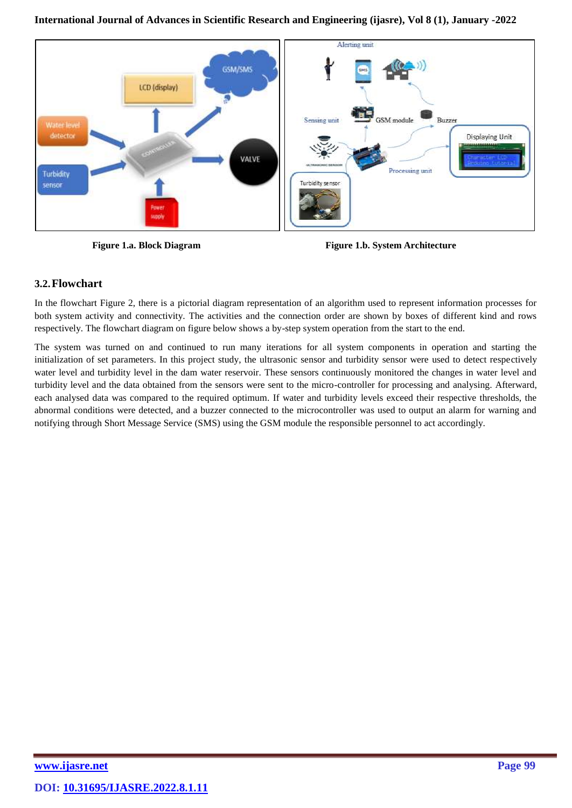**International Journal of Advances in Scientific Research and Engineering [\(ijasre\),](http://www.ijasre.net/) Vol 8 (1), January -2022**



**Figure 1.a. Block Diagram Figure 1.b. System Architecture** 

# **3.2.Flowchart**

In the flowchart Figure 2, there is a pictorial diagram representation of an algorithm used to represent information processes for both system activity and connectivity. The activities and the connection order are shown by boxes of different kind and rows respectively. The flowchart diagram on figure below shows a by-step system operation from the start to the end.

The system was turned on and continued to run many iterations for all system components in operation and starting the initialization of set parameters. In this project study, the ultrasonic sensor and turbidity sensor were used to detect respectively water level and turbidity level in the dam water reservoir. These sensors continuously monitored the changes in water level and turbidity level and the data obtained from the sensors were sent to the micro-controller for processing and analysing. Afterward, each analysed data was compared to the required optimum. If water and turbidity levels exceed their respective thresholds, the abnormal conditions were detected, and a buzzer connected to the microcontroller was used to output an alarm for warning and notifying through Short Message Service (SMS) using the GSM module the responsible personnel to act accordingly.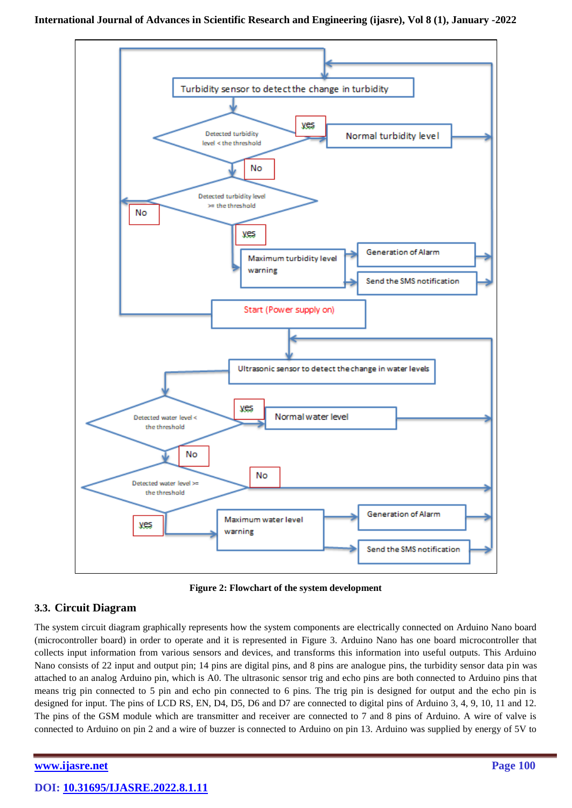

**Figure 2: Flowchart of the system development**

# **3.3. Circuit Diagram**

The system circuit diagram graphically represents how the system components are electrically connected on Arduino Nano board (microcontroller board) in order to operate and it is represented in Figure 3. Arduino Nano has one board microcontroller that collects input information from various sensors and devices, and transforms this information into useful outputs. This Arduino Nano consists of 22 input and output pin; 14 pins are digital pins, and 8 pins are analogue pins, the turbidity sensor data pin was attached to an analog Arduino pin, which is A0. The ultrasonic sensor trig and echo pins are both connected to Arduino pins that means trig pin connected to 5 pin and echo pin connected to 6 pins. The trig pin is designed for output and the echo pin is designed for input. The pins of LCD RS, EN, D4, D5, D6 and D7 are connected to digital pins of Arduino 3, 4, 9, 10, 11 and 12. The pins of the GSM module which are transmitter and receiver are connected to 7 and 8 pins of Arduino. A wire of valve is connected to Arduino on pin 2 and a wire of buzzer is connected to Arduino on pin 13. Arduino was supplied by energy of 5V to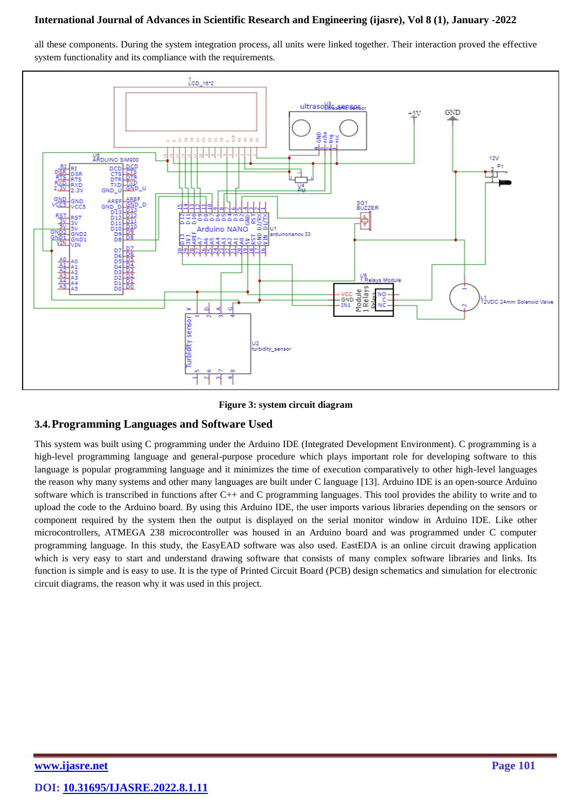all these components. During the system integration process, all units were linked together. Their interaction proved the effective system functionality and its compliance with the requirements.



**Figure 3: system circuit diagram**

### **3.4.Programming Languages and Software Used**

This system was built using C programming under the Arduino IDE (Integrated Development Environment). C programming is a high-level programming language and general-purpose procedure which plays important role for developing software to this language is popular programming language and it minimizes the time of execution comparatively to other high-level languages the reason why many systems and other many languages are built under C language [13]. Arduino IDE is an open-source Arduino software which is transcribed in functions after C++ and C programming languages. This tool provides the ability to write and to upload the code to the Arduino board. By using this Arduino IDE, the user imports various libraries depending on the sensors or component required by the system then the output is displayed on the serial monitor window in Arduino IDE. Like other microcontrollers, ATMEGA 238 microcontroller was housed in an Arduino board and was programmed under C computer programming language. In this study, the EasyEAD software was also used. EastEDA is an online circuit drawing application which is very easy to start and understand drawing software that consists of many complex software libraries and links. Its function is simple and is easy to use. It is the type of Printed Circuit Board (PCB) design schematics and simulation for electronic circuit diagrams, the reason why it was used in this project.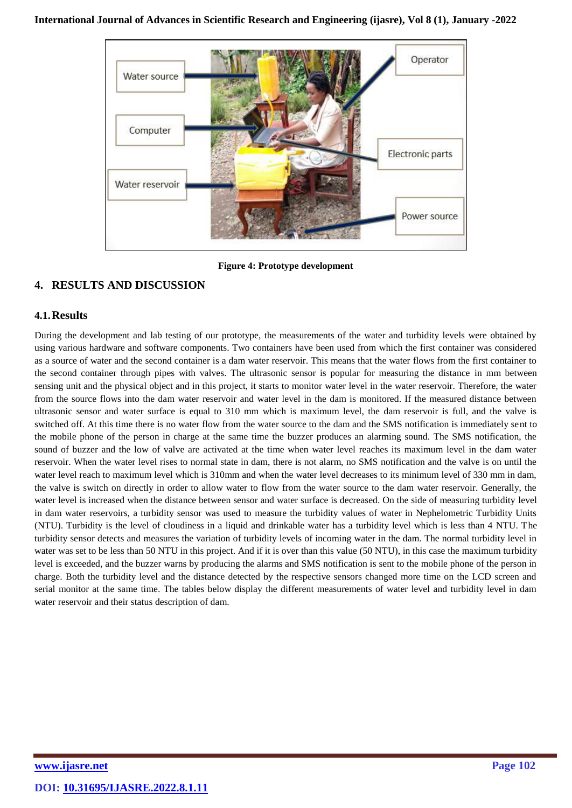

**Figure 4: Prototype development**

# **4. RESULTS AND DISCUSSION**

### **4.1.Results**

During the development and lab testing of our prototype, the measurements of the water and turbidity levels were obtained by using various hardware and software components. Two containers have been used from which the first container was considered as a source of water and the second container is a dam water reservoir. This means that the water flows from the first container to the second container through pipes with valves. The ultrasonic sensor is popular for measuring the distance in mm between sensing unit and the physical object and in this project, it starts to monitor water level in the water reservoir. Therefore, the water from the source flows into the dam water reservoir and water level in the dam is monitored. If the measured distance between ultrasonic sensor and water surface is equal to 310 mm which is maximum level, the dam reservoir is full, and the valve is switched off. At this time there is no water flow from the water source to the dam and the SMS notification is immediately sent to the mobile phone of the person in charge at the same time the buzzer produces an alarming sound. The SMS notification, the sound of buzzer and the low of valve are activated at the time when water level reaches its maximum level in the dam water reservoir. When the water level rises to normal state in dam, there is not alarm, no SMS notification and the valve is on until the water level reach to maximum level which is 310mm and when the water level decreases to its minimum level of 330 mm in dam, the valve is switch on directly in order to allow water to flow from the water source to the dam water reservoir. Generally, the water level is increased when the distance between sensor and water surface is decreased. On the side of measuring turbidity level in dam water reservoirs, a turbidity sensor was used to measure the turbidity values of water in Nephelometric Turbidity Units (NTU). Turbidity is the level of cloudiness in a liquid and drinkable water has a turbidity level which is less than 4 NTU. The turbidity sensor detects and measures the variation of turbidity levels of incoming water in the dam. The normal turbidity level in water was set to be less than 50 NTU in this project. And if it is over than this value (50 NTU), in this case the maximum turbidity level is exceeded, and the buzzer warns by producing the alarms and SMS notification is sent to the mobile phone of the person in charge. Both the turbidity level and the distance detected by the respective sensors changed more time on the LCD screen and serial monitor at the same time. The tables below display the different measurements of water level and turbidity level in dam water reservoir and their status description of dam.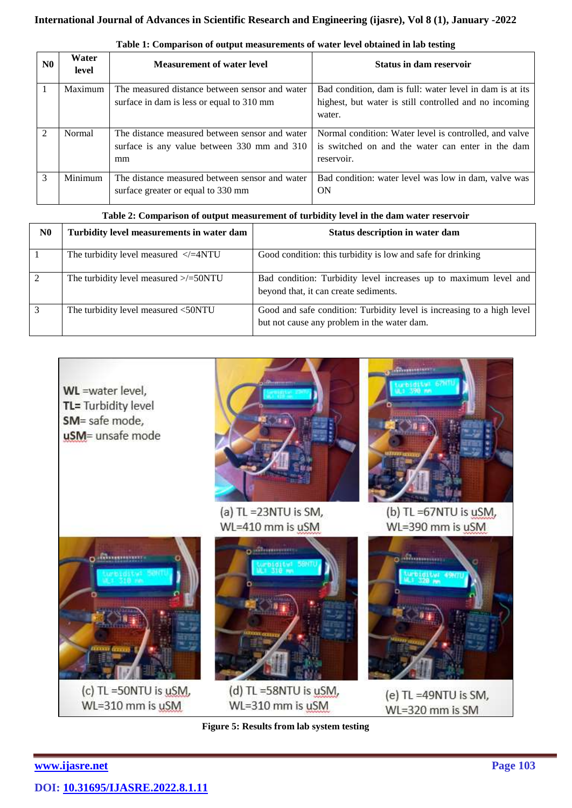| N <sub>0</sub> | Water<br>level | <b>Measurement of water level</b>              | <b>Status in dam reservoir</b>                           |
|----------------|----------------|------------------------------------------------|----------------------------------------------------------|
|                | Maximum        | The measured distance between sensor and water | Bad condition, dam is full: water level in dam is at its |
|                |                | surface in dam is less or equal to 310 mm      | highest, but water is still controlled and no incoming   |
|                |                |                                                | water.                                                   |
| $\mathcal{D}$  | Normal         | The distance measured between sensor and water | Normal condition: Water level is controlled, and valve   |
|                |                | surface is any value between 330 mm and 310    | is switched on and the water can enter in the dam        |
|                |                | mm                                             | reservoir.                                               |
| $\mathcal{F}$  | Minimum        | The distance measured between sensor and water | Bad condition: water level was low in dam, valve was     |
|                |                | surface greater or equal to 330 mm             | ON                                                       |

| Table 1: Comparison of output measurements of water level obtained in lab testing |  |  |  |
|-----------------------------------------------------------------------------------|--|--|--|
|                                                                                   |  |  |  |

|    | Table 2: Comparison of output measurement of turbidity level in the dam water reservoir |                                                                                                                       |  |  |  |  |  |
|----|-----------------------------------------------------------------------------------------|-----------------------------------------------------------------------------------------------------------------------|--|--|--|--|--|
| N0 | Turbidity level measurements in water dam                                               | Status description in water dam                                                                                       |  |  |  |  |  |
|    | The turbidity level measured $\langle$ =4NTU                                            | Good condition: this turbidity is low and safe for drinking                                                           |  |  |  |  |  |
| 2  | The turbidity level measured $\ge$ /=50NTU                                              | Bad condition: Turbidity level increases up to maximum level and<br>beyond that, it can create sediments.             |  |  |  |  |  |
| 3  | The turbidity level measured <50NTU                                                     | Good and safe condition: Turbidity level is increasing to a high level<br>but not cause any problem in the water dam. |  |  |  |  |  |



**Figure 5: Results from lab system testing**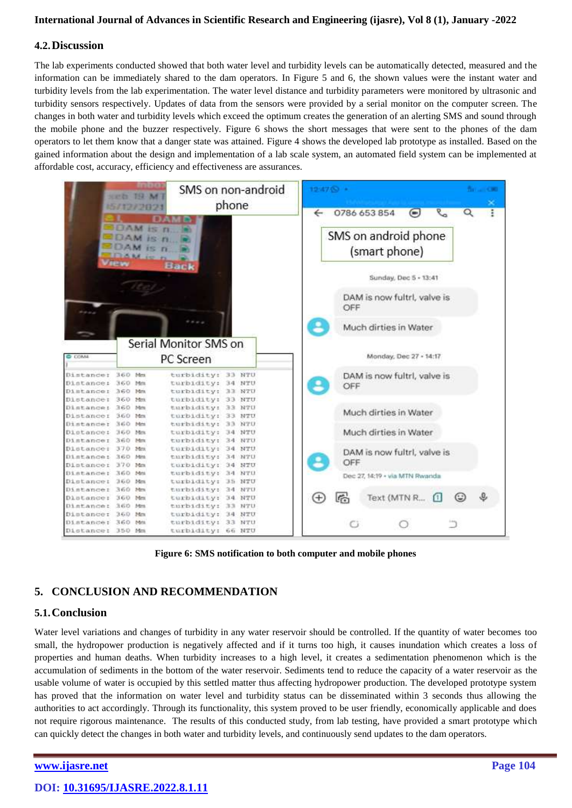#### **4.2.Discussion**

The lab experiments conducted showed that both water level and turbidity levels can be automatically detected, measured and the information can be immediately shared to the dam operators. In Figure 5 and 6, the shown values were the instant water and turbidity levels from the lab experimentation. The water level distance and turbidity parameters were monitored by ultrasonic and turbidity sensors respectively. Updates of data from the sensors were provided by a serial monitor on the computer screen. The changes in both water and turbidity levels which exceed the optimum creates the generation of an alerting SMS and sound through the mobile phone and the buzzer respectively. Figure 6 shows the short messages that were sent to the phones of the dam operators to let them know that a danger state was attained. Figure 4 shows the developed lab prototype as installed. Based on the gained information about the design and implementation of a lab scale system, an automated field system can be implemented at affordable cost, accuracy, efficiency and effectiveness are assurances.



**Figure 6: SMS notification to both computer and mobile phones**

# **5. CONCLUSION AND RECOMMENDATION**

#### **5.1.Conclusion**

Water level variations and changes of turbidity in any water reservoir should be controlled. If the quantity of water becomes too small, the hydropower production is negatively affected and if it turns too high, it causes inundation which creates a loss of properties and human deaths. When turbidity increases to a high level, it creates a sedimentation phenomenon which is the accumulation of sediments in the bottom of the water reservoir. Sediments tend to reduce the capacity of a water reservoir as the usable volume of water is occupied by this settled matter thus affecting hydropower production. The developed prototype system has proved that the information on water level and turbidity status can be disseminated within 3 seconds thus allowing the authorities to act accordingly. Through its functionality, this system proved to be user friendly, economically applicable and does not require rigorous maintenance. The results of this conducted study, from lab testing, have provided a smart prototype which can quickly detect the changes in both water and turbidity levels, and continuously send updates to the dam operators.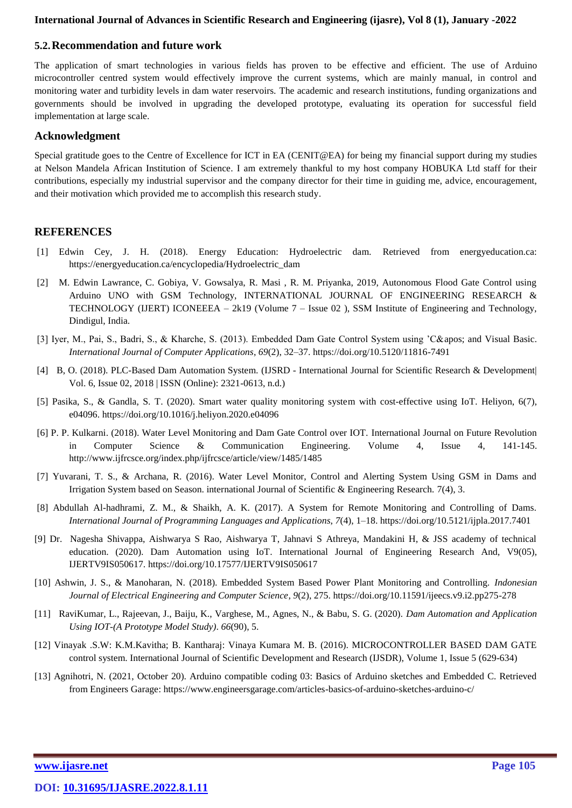### **5.2.Recommendation and future work**

The application of smart technologies in various fields has proven to be effective and efficient. The use of Arduino microcontroller centred system would effectively improve the current systems, which are mainly manual, in control and monitoring water and turbidity levels in dam water reservoirs. The academic and research institutions, funding organizations and governments should be involved in upgrading the developed prototype, evaluating its operation for successful field implementation at large scale.

### **Acknowledgment**

Special gratitude goes to the Centre of Excellence for ICT in EA (CENIT@EA) for being my financial support during my studies at Nelson Mandela African Institution of Science. I am extremely thankful to my host company HOBUKA Ltd staff for their contributions, especially my industrial supervisor and the company director for their time in guiding me, advice, encouragement, and their motivation which provided me to accomplish this research study.

### **REFERENCES**

- [1] Edwin Cey, J. H. (2018). Energy Education: Hydroelectric dam. Retrieved from energyeducation.ca: https://energyeducation.ca/encyclopedia/Hydroelectric\_dam
- [2] M. Edwin Lawrance, C. Gobiya, V. Gowsalya, R. Masi , R. M. Priyanka, 2019, Autonomous Flood Gate Control using Arduino UNO with GSM Technology, INTERNATIONAL JOURNAL OF ENGINEERING RESEARCH & TECHNOLOGY (IJERT) ICONEEEA – 2k19 (Volume 7 – Issue 02 ), SSM Institute of Engineering and Technology, Dindigul, India.
- [3] Iyer, M., Pai, S., Badri, S., & Kharche, S. (2013). Embedded Dam Gate Control System using 'C' and Visual Basic. *International Journal of Computer Applications*, *69*(2), 32–37. https://doi.org/10.5120/11816-7491
- [4] B, O. (2018). PLC-Based Dam Automation System. (IJSRD International Journal for Scientific Research & Development| Vol. 6, Issue 02, 2018 | ISSN (Online): 2321-0613, n.d.)
- [5] Pasika, S., & Gandla, S. T. (2020). Smart water quality monitoring system with cost-effective using IoT. Heliyon, 6(7), e04096. https://doi.org/10.1016/j.heliyon.2020.e04096
- [6] P. P. Kulkarni. (2018). Water Level Monitoring and Dam Gate Control over IOT. International Journal on Future Revolution in Computer Science & Communication Engineering. Volume 4, Issue 4, 141-145. http://www.ijfrcsce.org/index.php/ijfrcsce/article/view/1485/1485
- [7] Yuvarani, T. S., & Archana, R. (2016). Water Level Monitor, Control and Alerting System Using GSM in Dams and Irrigation System based on Season. international Journal of Scientific & Engineering Research. 7(4), 3.
- [8] Abdullah Al-hadhrami, Z. M., & Shaikh, A. K. (2017). A System for Remote Monitoring and Controlling of Dams. *International Journal of Programming Languages and Applications*, *7*(4), 1–18. https://doi.org/10.5121/ijpla.2017.7401
- [9] Dr. Nagesha Shivappa, Aishwarya S Rao, Aishwarya T, Jahnavi S Athreya, Mandakini H, & JSS academy of technical education. (2020). Dam Automation using IoT. International Journal of Engineering Research And, V9(05), IJERTV9IS050617. https://doi.org/10.17577/IJERTV9IS050617
- [10] Ashwin, J. S., & Manoharan, N. (2018). Embedded System Based Power Plant Monitoring and Controlling. *Indonesian Journal of Electrical Engineering and Computer Science*, *9*(2), 275. https://doi.org/10.11591/ijeecs.v9.i2.pp275-278
- [11] RaviKumar, L., Rajeevan, J., Baiju, K., Varghese, M., Agnes, N., & Babu, S. G. (2020). *Dam Automation and Application Using IOT-(A Prototype Model Study)*. *66*(90), 5.
- [12] Vinayak .S.W: K.M.Kavitha; B. Kantharaj: Vinaya Kumara M. B. (2016). MICROCONTROLLER BASED DAM GATE control system. International Journal of Scientific Development and Research (IJSDR), Volume 1, Issue 5 (629-634)
- [13] Agnihotri, N. (2021, October 20). Arduino compatible coding 03: Basics of Arduino sketches and Embedded C. Retrieved from Engineers Garage: https://www.engineersgarage.com/articles-basics-of-arduino-sketches-arduino-c/